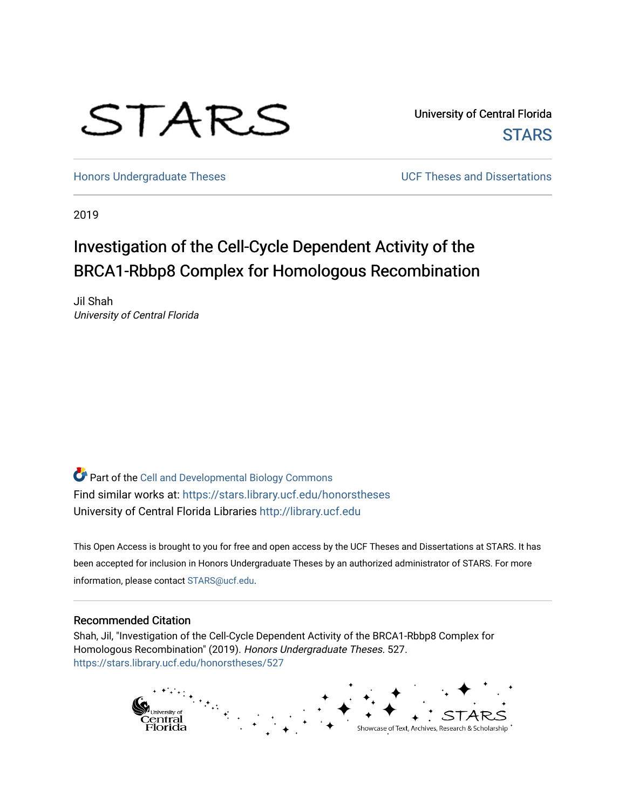# STARS

University of Central Florida **STARS** 

[Honors Undergraduate Theses](https://stars.library.ucf.edu/honorstheses) **No. 2018** UCF Theses and Dissertations

2019

# Investigation of the Cell-Cycle Dependent Activity of the BRCA1-Rbbp8 Complex for Homologous Recombination

Jil Shah University of Central Florida

Part of the [Cell and Developmental Biology Commons](http://network.bepress.com/hgg/discipline/8?utm_source=stars.library.ucf.edu%2Fhonorstheses%2F527&utm_medium=PDF&utm_campaign=PDFCoverPages)  Find similar works at: <https://stars.library.ucf.edu/honorstheses> University of Central Florida Libraries [http://library.ucf.edu](http://library.ucf.edu/) 

This Open Access is brought to you for free and open access by the UCF Theses and Dissertations at STARS. It has been accepted for inclusion in Honors Undergraduate Theses by an authorized administrator of STARS. For more information, please contact [STARS@ucf.edu.](mailto:STARS@ucf.edu)

#### Recommended Citation

Shah, Jil, "Investigation of the Cell-Cycle Dependent Activity of the BRCA1-Rbbp8 Complex for Homologous Recombination" (2019). Honors Undergraduate Theses. 527. [https://stars.library.ucf.edu/honorstheses/527](https://stars.library.ucf.edu/honorstheses/527?utm_source=stars.library.ucf.edu%2Fhonorstheses%2F527&utm_medium=PDF&utm_campaign=PDFCoverPages) 

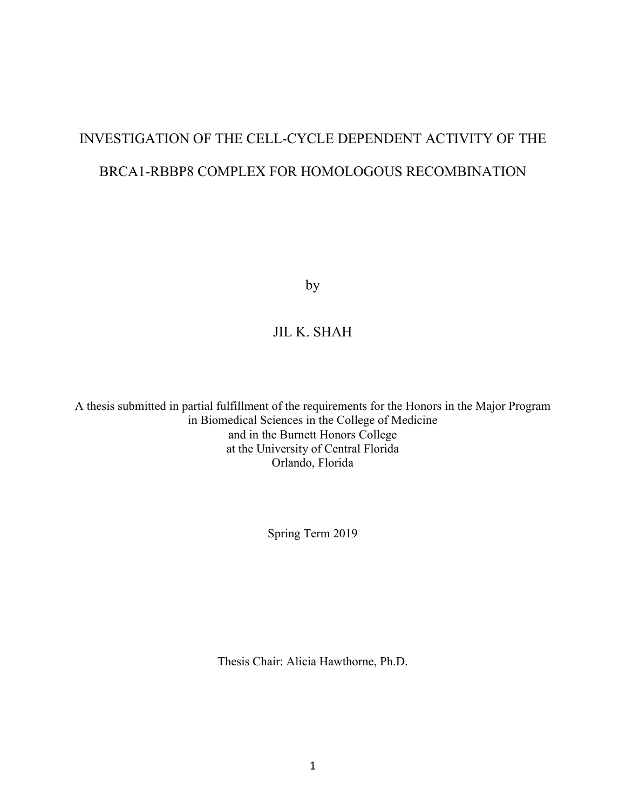# INVESTIGATION OF THE CELL-CYCLE DEPENDENT ACTIVITY OF THE BRCA1-RBBP8 COMPLEX FOR HOMOLOGOUS RECOMBINATION

by

# JIL K. SHAH

A thesis submitted in partial fulfillment of the requirements for the Honors in the Major Program in Biomedical Sciences in the College of Medicine and in the Burnett Honors College at the University of Central Florida Orlando, Florida

Spring Term 2019

Thesis Chair: Alicia Hawthorne, Ph.D.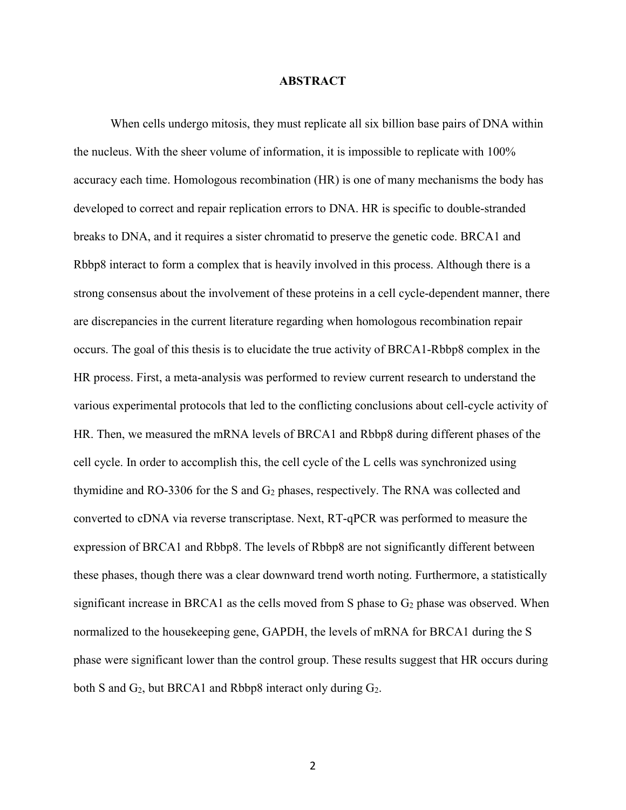#### **ABSTRACT**

When cells undergo mitosis, they must replicate all six billion base pairs of DNA within the nucleus. With the sheer volume of information, it is impossible to replicate with 100% accuracy each time. Homologous recombination (HR) is one of many mechanisms the body has developed to correct and repair replication errors to DNA. HR is specific to double-stranded breaks to DNA, and it requires a sister chromatid to preserve the genetic code. BRCA1 and Rbbp8 interact to form a complex that is heavily involved in this process. Although there is a strong consensus about the involvement of these proteins in a cell cycle-dependent manner, there are discrepancies in the current literature regarding when homologous recombination repair occurs. The goal of this thesis is to elucidate the true activity of BRCA1-Rbbp8 complex in the HR process. First, a meta-analysis was performed to review current research to understand the various experimental protocols that led to the conflicting conclusions about cell-cycle activity of HR. Then, we measured the mRNA levels of BRCA1 and Rbbp8 during different phases of the cell cycle. In order to accomplish this, the cell cycle of the L cells was synchronized using thymidine and RO-3306 for the S and  $G_2$  phases, respectively. The RNA was collected and converted to cDNA via reverse transcriptase. Next, RT-qPCR was performed to measure the expression of BRCA1 and Rbbp8. The levels of Rbbp8 are not significantly different between these phases, though there was a clear downward trend worth noting. Furthermore, a statistically significant increase in BRCA1 as the cells moved from S phase to  $G_2$  phase was observed. When normalized to the housekeeping gene, GAPDH, the levels of mRNA for BRCA1 during the S phase were significant lower than the control group. These results suggest that HR occurs during both S and  $G_2$ , but BRCA1 and Rbbp8 interact only during  $G_2$ .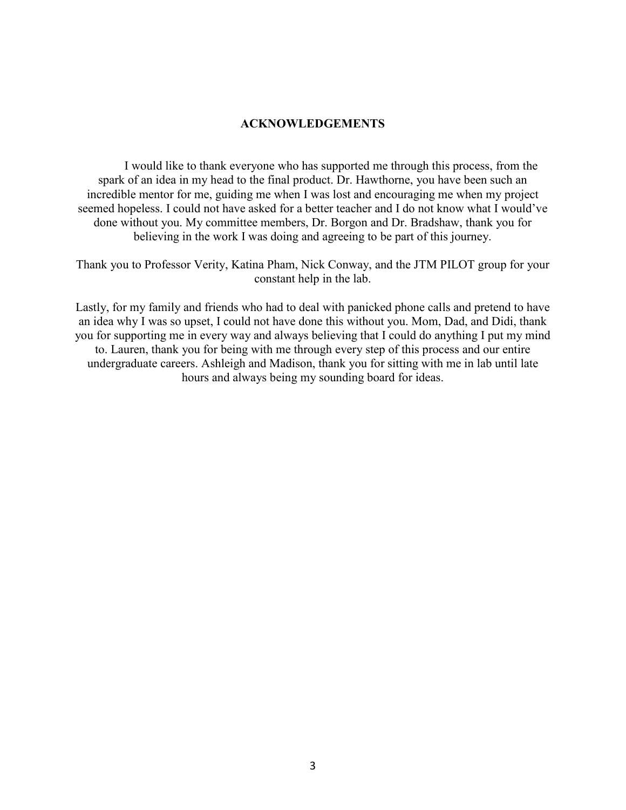# **ACKNOWLEDGEMENTS**

I would like to thank everyone who has supported me through this process, from the spark of an idea in my head to the final product. Dr. Hawthorne, you have been such an incredible mentor for me, guiding me when I was lost and encouraging me when my project seemed hopeless. I could not have asked for a better teacher and I do not know what I would've done without you. My committee members, Dr. Borgon and Dr. Bradshaw, thank you for believing in the work I was doing and agreeing to be part of this journey.

Thank you to Professor Verity, Katina Pham, Nick Conway, and the JTM PILOT group for your constant help in the lab.

Lastly, for my family and friends who had to deal with panicked phone calls and pretend to have an idea why I was so upset, I could not have done this without you. Mom, Dad, and Didi, thank you for supporting me in every way and always believing that I could do anything I put my mind to. Lauren, thank you for being with me through every step of this process and our entire undergraduate careers. Ashleigh and Madison, thank you for sitting with me in lab until late hours and always being my sounding board for ideas.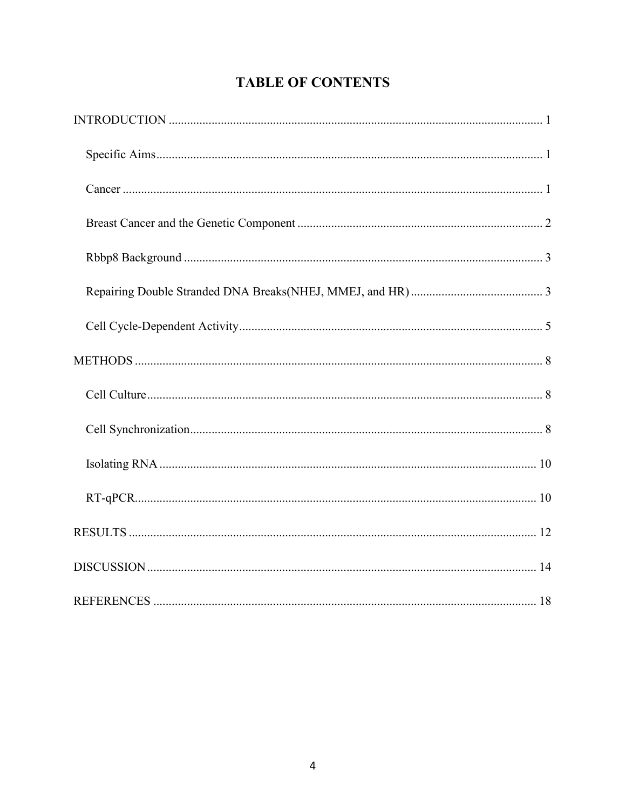# **TABLE OF CONTENTS**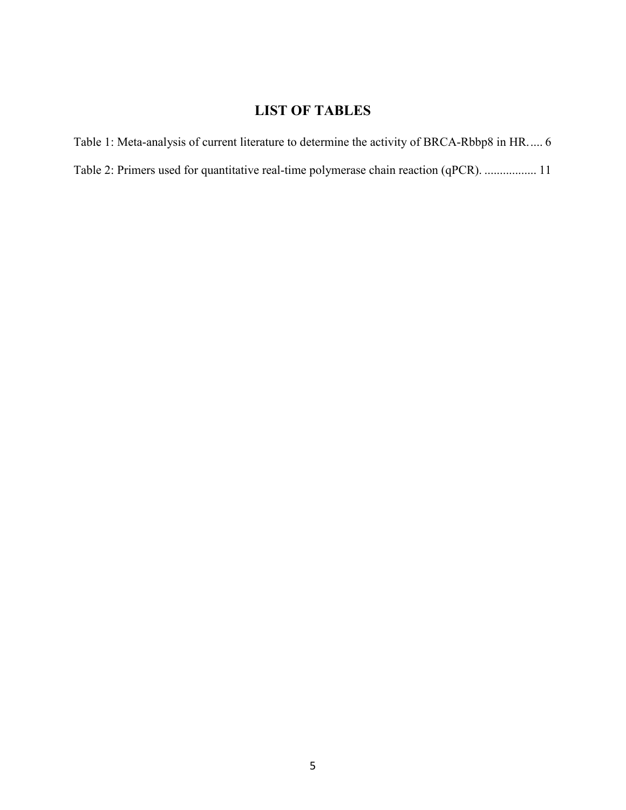# **LIST OF TABLES**

[Table 1: Meta-analysis of current literature to determine the activity of BRCA-Rbbp8 in HR.....](#page-12-0) 6 [Table 2: Primers used for quantitative real-time polymerase chain reaction \(qPCR\).](#page-17-0) ................. 11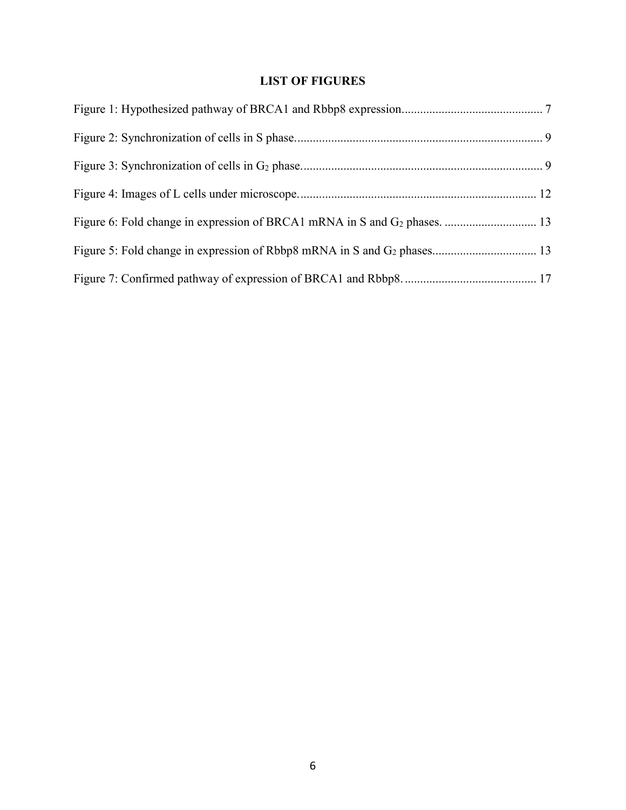# **LIST OF FIGURES**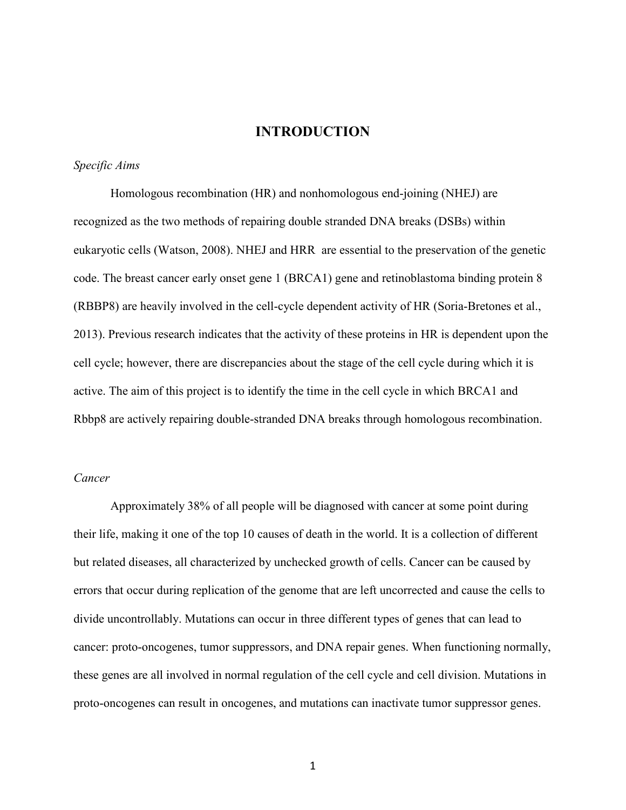# **INTRODUCTION**

#### <span id="page-7-1"></span><span id="page-7-0"></span>*Specific Aims*

Homologous recombination (HR) and nonhomologous end-joining (NHEJ) are recognized as the two methods of repairing double stranded DNA breaks (DSBs) within eukaryotic cells (Watson, 2008). NHEJ and HRR are essential to the preservation of the genetic code. The breast cancer early onset gene 1 (BRCA1) gene and retinoblastoma binding protein 8 (RBBP8) are heavily involved in the cell-cycle dependent activity of HR (Soria-Bretones et al., 2013). Previous research indicates that the activity of these proteins in HR is dependent upon the cell cycle; however, there are discrepancies about the stage of the cell cycle during which it is active. The aim of this project is to identify the time in the cell cycle in which BRCA1 and Rbbp8 are actively repairing double-stranded DNA breaks through homologous recombination.

#### <span id="page-7-2"></span>*Cancer*

Approximately 38% of all people will be diagnosed with cancer at some point during their life, making it one of the top 10 causes of death in the world. It is a collection of different but related diseases, all characterized by unchecked growth of cells. Cancer can be caused by errors that occur during replication of the genome that are left uncorrected and cause the cells to divide uncontrollably. Mutations can occur in three different types of genes that can lead to cancer: proto-oncogenes, tumor suppressors, and DNA repair genes. When functioning normally, these genes are all involved in normal regulation of the cell cycle and cell division. Mutations in proto-oncogenes can result in oncogenes, and mutations can inactivate tumor suppressor genes.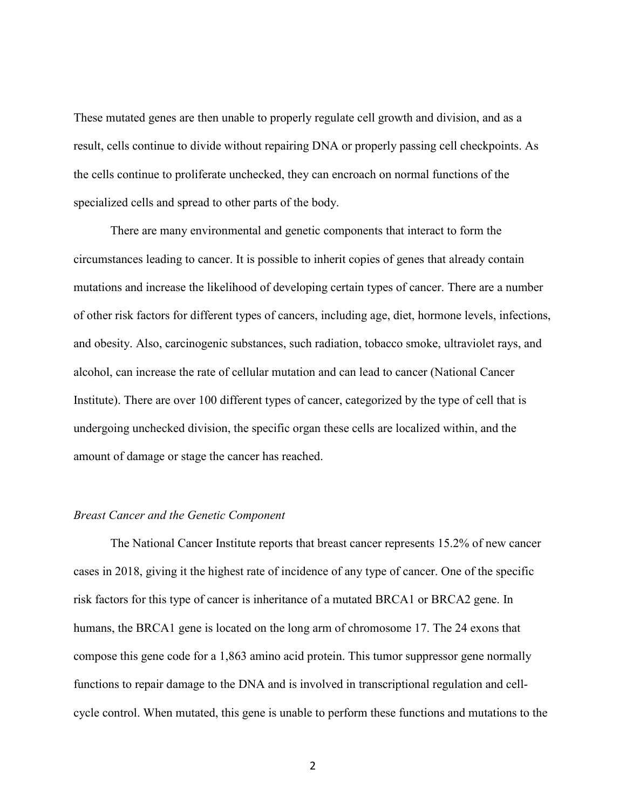These mutated genes are then unable to properly regulate cell growth and division, and as a result, cells continue to divide without repairing DNA or properly passing cell checkpoints. As the cells continue to proliferate unchecked, they can encroach on normal functions of the specialized cells and spread to other parts of the body.

There are many environmental and genetic components that interact to form the circumstances leading to cancer. It is possible to inherit copies of genes that already contain mutations and increase the likelihood of developing certain types of cancer. There are a number of other risk factors for different types of cancers, including age, diet, hormone levels, infections, and obesity. Also, carcinogenic substances, such radiation, tobacco smoke, ultraviolet rays, and alcohol, can increase the rate of cellular mutation and can lead to cancer (National Cancer Institute). There are over 100 different types of cancer, categorized by the type of cell that is undergoing unchecked division, the specific organ these cells are localized within, and the amount of damage or stage the cancer has reached.

#### <span id="page-8-0"></span>*Breast Cancer and the Genetic Component*

The National Cancer Institute reports that breast cancer represents 15.2% of new cancer cases in 2018, giving it the highest rate of incidence of any type of cancer. One of the specific risk factors for this type of cancer is inheritance of a mutated BRCA1 or BRCA2 gene. In humans, the BRCA1 gene is located on the long arm of chromosome 17. The 24 exons that compose this gene code for a 1,863 amino acid protein. This tumor suppressor gene normally functions to repair damage to the DNA and is involved in transcriptional regulation and cellcycle control. When mutated, this gene is unable to perform these functions and mutations to the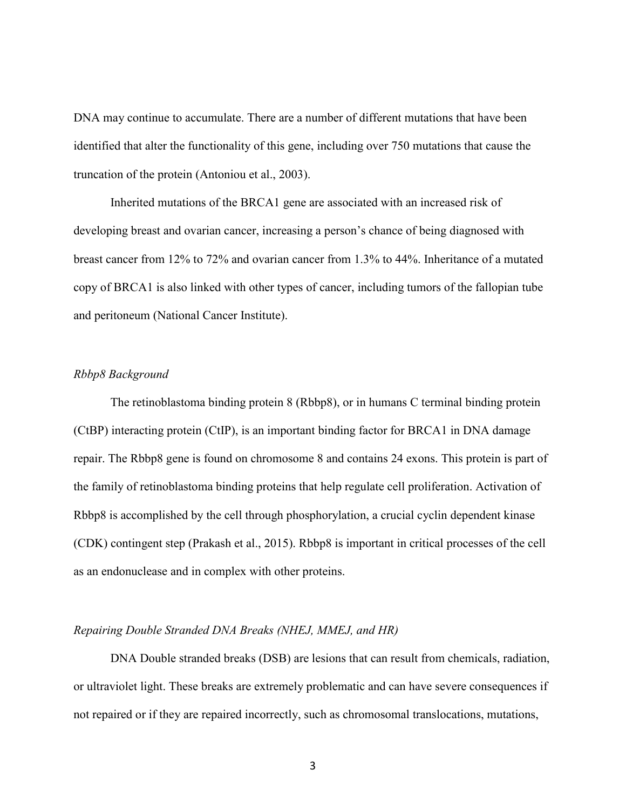DNA may continue to accumulate. There are a number of different mutations that have been identified that alter the functionality of this gene, including over 750 mutations that cause the truncation of the protein (Antoniou et al., 2003).

Inherited mutations of the BRCA1 gene are associated with an increased risk of developing breast and ovarian cancer, increasing a person's chance of being diagnosed with breast cancer from 12% to 72% and ovarian cancer from 1.3% to 44%. Inheritance of a mutated copy of BRCA1 is also linked with other types of cancer, including tumors of the fallopian tube and peritoneum (National Cancer Institute).

## <span id="page-9-0"></span>*Rbbp8 Background*

The retinoblastoma binding protein 8 (Rbbp8), or in humans C terminal binding protein (CtBP) interacting protein (CtIP), is an important binding factor for BRCA1 in DNA damage repair. The Rbbp8 gene is found on chromosome 8 and contains 24 exons. This protein is part of the family of retinoblastoma binding proteins that help regulate cell proliferation. Activation of Rbbp8 is accomplished by the cell through phosphorylation, a crucial cyclin dependent kinase (CDK) contingent step (Prakash et al., 2015). Rbbp8 is important in critical processes of the cell as an endonuclease and in complex with other proteins.

#### <span id="page-9-1"></span>*Repairing Double Stranded DNA Breaks (NHEJ, MMEJ, and HR)*

DNA Double stranded breaks (DSB) are lesions that can result from chemicals, radiation, or ultraviolet light. These breaks are extremely problematic and can have severe consequences if not repaired or if they are repaired incorrectly, such as chromosomal translocations, mutations,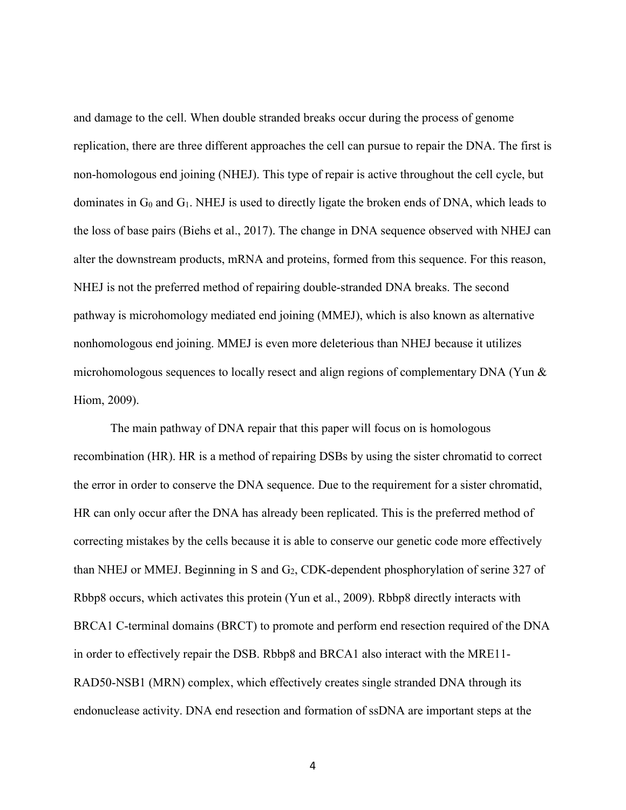and damage to the cell. When double stranded breaks occur during the process of genome replication, there are three different approaches the cell can pursue to repair the DNA. The first is non-homologous end joining (NHEJ). This type of repair is active throughout the cell cycle, but dominates in  $G_0$  and  $G_1$ . NHEJ is used to directly ligate the broken ends of DNA, which leads to the loss of base pairs (Biehs et al., 2017). The change in DNA sequence observed with NHEJ can alter the downstream products, mRNA and proteins, formed from this sequence. For this reason, NHEJ is not the preferred method of repairing double-stranded DNA breaks. The second pathway is microhomology mediated end joining (MMEJ), which is also known as alternative nonhomologous end joining. MMEJ is even more deleterious than NHEJ because it utilizes microhomologous sequences to locally resect and align regions of complementary DNA (Yun & Hiom, 2009).

The main pathway of DNA repair that this paper will focus on is homologous recombination (HR). HR is a method of repairing DSBs by using the sister chromatid to correct the error in order to conserve the DNA sequence. Due to the requirement for a sister chromatid, HR can only occur after the DNA has already been replicated. This is the preferred method of correcting mistakes by the cells because it is able to conserve our genetic code more effectively than NHEJ or MMEJ. Beginning in S and  $G_2$ , CDK-dependent phosphorylation of serine 327 of Rbbp8 occurs, which activates this protein (Yun et al., 2009). Rbbp8 directly interacts with BRCA1 C-terminal domains (BRCT) to promote and perform end resection required of the DNA in order to effectively repair the DSB. Rbbp8 and BRCA1 also interact with the MRE11- RAD50-NSB1 (MRN) complex, which effectively creates single stranded DNA through its endonuclease activity. DNA end resection and formation of ssDNA are important steps at the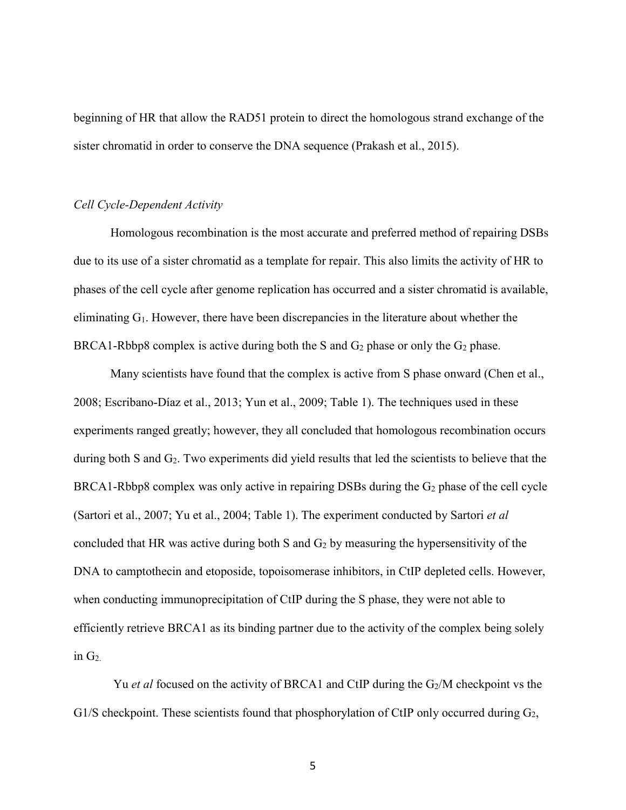beginning of HR that allow the RAD51 protein to direct the homologous strand exchange of the sister chromatid in order to conserve the DNA sequence (Prakash et al., 2015).

#### <span id="page-11-0"></span>*Cell Cycle-Dependent Activity*

Homologous recombination is the most accurate and preferred method of repairing DSBs due to its use of a sister chromatid as a template for repair. This also limits the activity of HR to phases of the cell cycle after genome replication has occurred and a sister chromatid is available, eliminating G1. However, there have been discrepancies in the literature about whether the BRCA1-Rbbp8 complex is active during both the S and  $G_2$  phase or only the  $G_2$  phase.

Many scientists have found that the complex is active from S phase onward (Chen et al., 2008; Escribano-Díaz et al., 2013; Yun et al., 2009; Table 1). The techniques used in these experiments ranged greatly; however, they all concluded that homologous recombination occurs during both S and  $G_2$ . Two experiments did yield results that led the scientists to believe that the  $BRCA1-Rbbp8$  complex was only active in repairing DSBs during the  $G_2$  phase of the cell cycle (Sartori et al., 2007; Yu et al., 2004; Table 1). The experiment conducted by Sartori *et al* concluded that HR was active during both S and  $G_2$  by measuring the hypersensitivity of the DNA to camptothecin and etoposide, topoisomerase inhibitors, in CtIP depleted cells. However, when conducting immunoprecipitation of CtIP during the S phase, they were not able to efficiently retrieve BRCA1 as its binding partner due to the activity of the complex being solely in  $G_2$ .

Yu *et al* focused on the activity of BRCA1 and CtIP during the G<sub>2</sub>/M checkpoint vs the G1/S checkpoint. These scientists found that phosphorylation of CtIP only occurred during  $G_2$ ,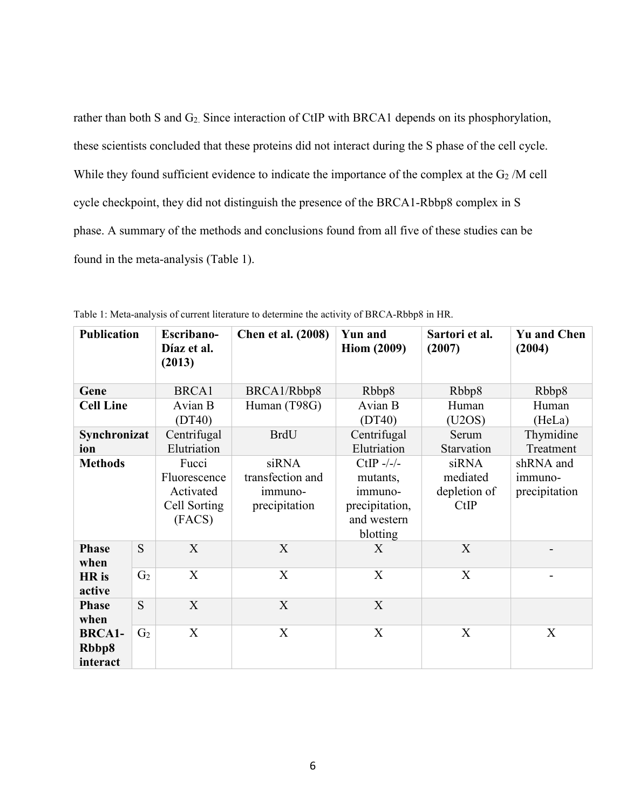rather than both S and G<sub>2</sub>. Since interaction of CtIP with BRCA1 depends on its phosphorylation, these scientists concluded that these proteins did not interact during the S phase of the cell cycle. While they found sufficient evidence to indicate the importance of the complex at the  $G_2/M$  cell cycle checkpoint, they did not distinguish the presence of the BRCA1-Rbbp8 complex in S phase. A summary of the methods and conclusions found from all five of these studies can be found in the meta-analysis (Table 1).

| <b>Publication</b>                 |                | Escribano-<br>Díaz et al.<br>(2013)                          | <b>Chen et al. (2008)</b>                             | <b>Yun and</b><br><b>Hiom (2009)</b>                                            | Sartori et al.<br>(2007)                  | <b>Yu and Chen</b><br>(2004)          |
|------------------------------------|----------------|--------------------------------------------------------------|-------------------------------------------------------|---------------------------------------------------------------------------------|-------------------------------------------|---------------------------------------|
| Gene                               |                | <b>BRCA1</b>                                                 | BRCA1/Rbbp8                                           | Rbbp8                                                                           | Rbbp8                                     | Rbbp8                                 |
| <b>Cell Line</b>                   |                | Avian B<br>(DT40)                                            | Human (T98G)                                          | Avian B<br>(DT40)                                                               | Human<br>(U2OS)                           | Human<br>(HeLa)                       |
| Synchronizat<br>ion                |                | Centrifugal<br>Elutriation                                   | <b>BrdU</b>                                           | Centrifugal<br>Elutriation                                                      | Serum<br>Starvation                       | Thymidine<br>Treatment                |
| <b>Methods</b>                     |                | Fucci<br>Fluorescence<br>Activated<br>Cell Sorting<br>(FACS) | siRNA<br>transfection and<br>immuno-<br>precipitation | CtIP $-/-/$<br>mutants,<br>immuno-<br>precipitation,<br>and western<br>blotting | siRNA<br>mediated<br>depletion of<br>CtIP | shRNA and<br>immuno-<br>precipitation |
| <b>Phase</b><br>when               | S              | X                                                            | X                                                     | X                                                                               | X                                         |                                       |
| HR is<br>active                    | G <sub>2</sub> | X                                                            | X                                                     | X                                                                               | X                                         |                                       |
| <b>Phase</b><br>when               | S              | X                                                            | X                                                     | X                                                                               |                                           |                                       |
| <b>BRCA1-</b><br>Rbbp8<br>interact | G <sub>2</sub> | X                                                            | X                                                     | X                                                                               | X                                         | X                                     |

<span id="page-12-0"></span>Table 1: Meta-analysis of current literature to determine the activity of BRCA-Rbbp8 in HR.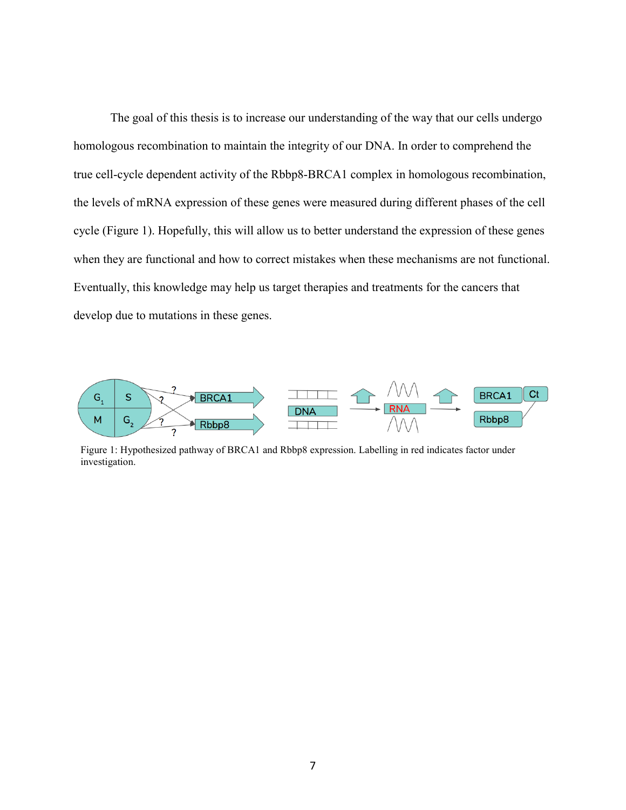The goal of this thesis is to increase our understanding of the way that our cells undergo homologous recombination to maintain the integrity of our DNA. In order to comprehend the true cell-cycle dependent activity of the Rbbp8-BRCA1 complex in homologous recombination, the levels of mRNA expression of these genes were measured during different phases of the cell cycle (Figure 1). Hopefully, this will allow us to better understand the expression of these genes when they are functional and how to correct mistakes when these mechanisms are not functional. Eventually, this knowledge may help us target therapies and treatments for the cancers that develop due to mutations in these genes.



Figure 1: Hypothesized pathway of BRCA1 and Rbbp8 expression. Labelling in red indicates factor under investigation.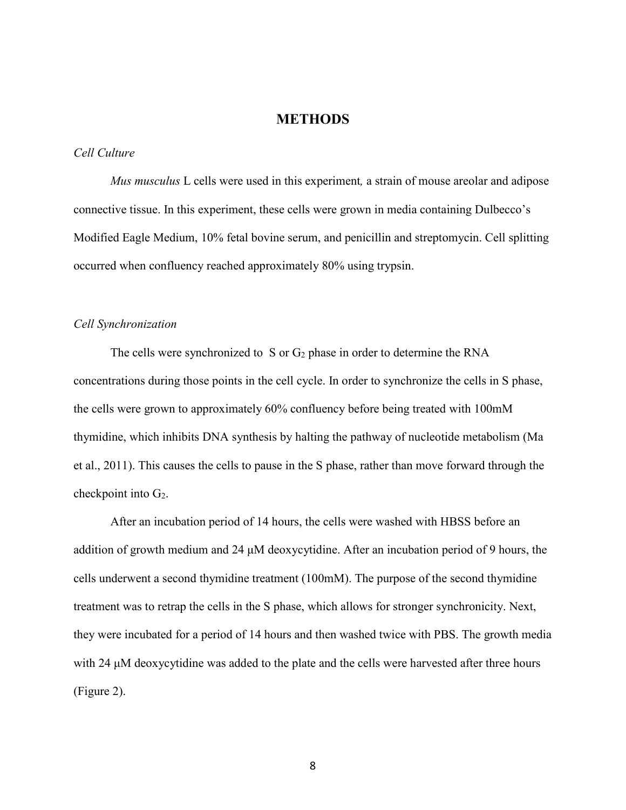# **METHODS**

## <span id="page-14-1"></span><span id="page-14-0"></span>*Cell Culture*

*Mus musculus* L cells were used in this experiment*,* a strain of mouse areolar and adipose connective tissue. In this experiment, these cells were grown in media containing Dulbecco's Modified Eagle Medium, 10% fetal bovine serum, and penicillin and streptomycin. Cell splitting occurred when confluency reached approximately 80% using trypsin.

#### <span id="page-14-2"></span>*Cell Synchronization*

The cells were synchronized to S or  $G_2$  phase in order to determine the RNA concentrations during those points in the cell cycle. In order to synchronize the cells in S phase, the cells were grown to approximately 60% confluency before being treated with 100mM thymidine, which inhibits DNA synthesis by halting the pathway of nucleotide metabolism (Ma et al., 2011). This causes the cells to pause in the S phase, rather than move forward through the checkpoint into  $G_2$ .

After an incubation period of 14 hours, the cells were washed with HBSS before an addition of growth medium and 24 μM deoxycytidine. After an incubation period of 9 hours, the cells underwent a second thymidine treatment (100mM). The purpose of the second thymidine treatment was to retrap the cells in the S phase, which allows for stronger synchronicity. Next, they were incubated for a period of 14 hours and then washed twice with PBS. The growth media with 24 μM deoxycytidine was added to the plate and the cells were harvested after three hours (Figure 2).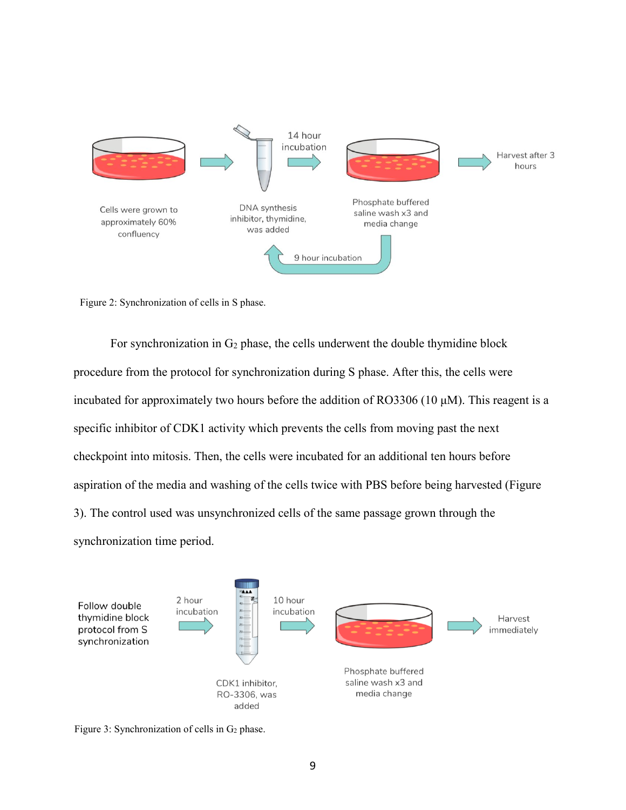

Figure 2: Synchronization of cells in S phase.

For synchronization in  $G_2$  phase, the cells underwent the double thymidine block procedure from the protocol for synchronization during S phase. After this, the cells were incubated for approximately two hours before the addition of RO3306 (10  $\mu$ M). This reagent is a specific inhibitor of CDK1 activity which prevents the cells from moving past the next checkpoint into mitosis. Then, the cells were incubated for an additional ten hours before aspiration of the media and washing of the cells twice with PBS before being harvested (Figure 3). The control used was unsynchronized cells of the same passage grown through the synchronization time period.



Figure 3: Synchronization of cells in  $G_2$  phase.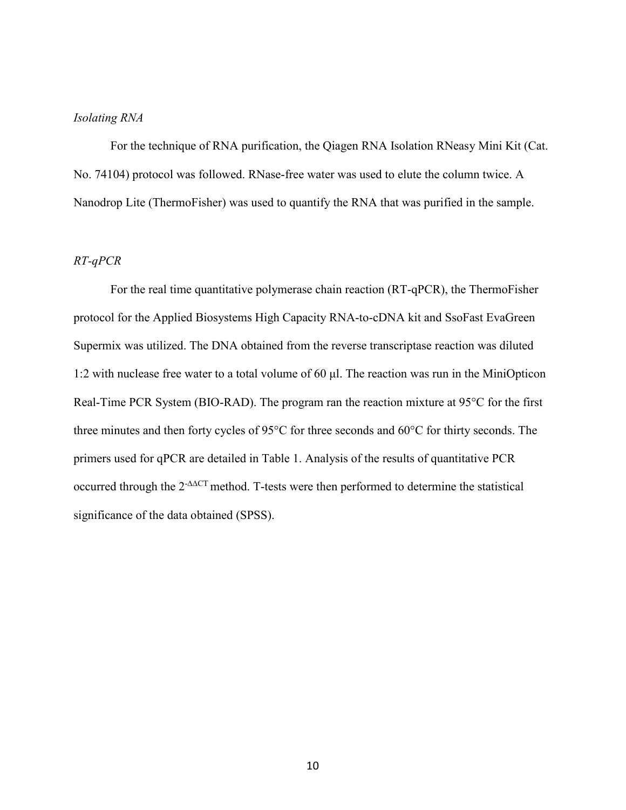# <span id="page-16-0"></span>*Isolating RNA*

For the technique of RNA purification, the Qiagen RNA Isolation RNeasy Mini Kit (Cat. No. 74104) protocol was followed. RNase-free water was used to elute the column twice. A Nanodrop Lite (ThermoFisher) was used to quantify the RNA that was purified in the sample.

# <span id="page-16-1"></span>*RT-qPCR*

For the real time quantitative polymerase chain reaction (RT-qPCR), the ThermoFisher protocol for the Applied Biosystems High Capacity RNA-to-cDNA kit and SsoFast EvaGreen Supermix was utilized. The DNA obtained from the reverse transcriptase reaction was diluted 1:2 with nuclease free water to a total volume of 60 μl. The reaction was run in the MiniOpticon Real-Time PCR System (BIO-RAD). The program ran the reaction mixture at 95°C for the first three minutes and then forty cycles of 95°C for three seconds and 60°C for thirty seconds. The primers used for qPCR are detailed in Table 1. Analysis of the results of quantitative PCR occurred through the 2-∆∆CT method. T-tests were then performed to determine the statistical significance of the data obtained (SPSS).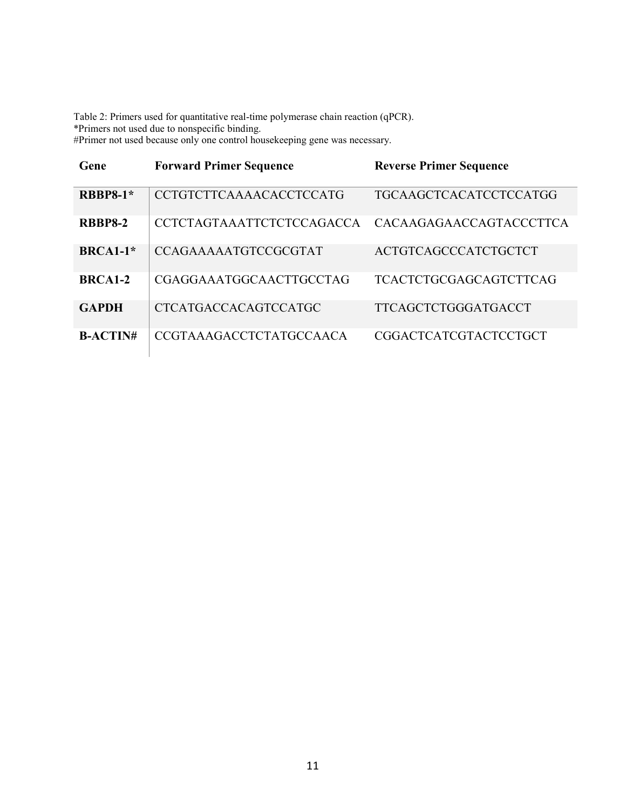<span id="page-17-0"></span>Table 2: Primers used for quantitative real-time polymerase chain reaction (qPCR). \*Primers not used due to nonspecific binding. #Primer not used because only one control housekeeping gene was necessary.

| Gene                 | <b>Forward Primer Sequence</b>   | <b>Reverse Primer Sequence</b> |
|----------------------|----------------------------------|--------------------------------|
| <b>RBBP8-1*</b>      | <b>CCTGTCTTCAAAACACCTCCATG</b>   | TGCAAGCTCACATCCTCCATGG         |
| <b>RBBP8-2</b>       | <b>CCTCTAGTAAATTCTCTCCAGACCA</b> | CACAAGAGAACCAGTACCCTTCA        |
| $BRCA1-1*$           | <b>CCAGAAAAAATGTCCGCGTAT</b>     | ACTGTCAGCCCATCTGCTCT           |
| BRCA <sub>1</sub> -2 | CGAGGAAATGGCAACTTGCCTAG          | <b>TCACTCTGCGAGCAGTCTTCAG</b>  |
| <b>GAPDH</b>         | <b>CTCATGACCACAGTCCATGC</b>      | <b>TTCAGCTCTGGGATGACCT</b>     |
| $B-ACTIN#$           | <b>CCGTAAAGACCTCTATGCCAACA</b>   | <b>CGGACTCATCGTACTCCTGCT</b>   |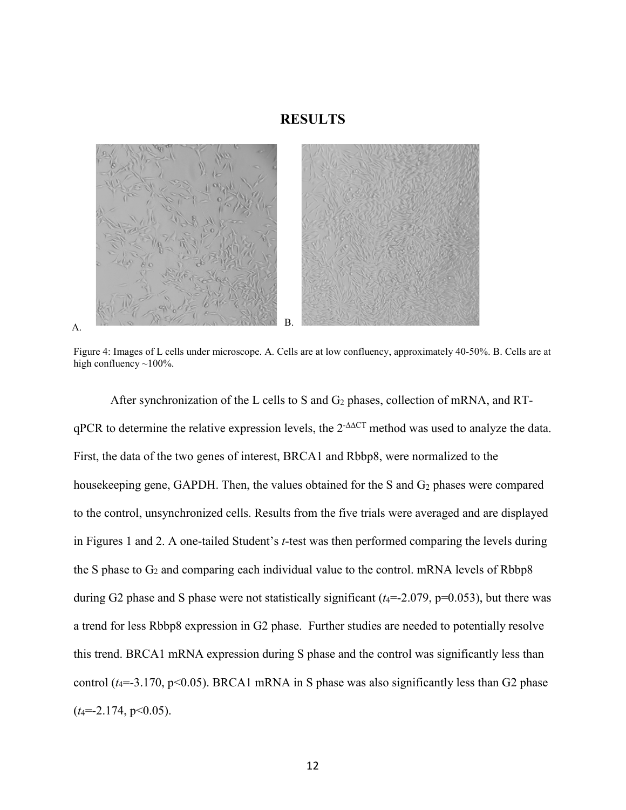# **RESULTS**

<span id="page-18-0"></span>

<span id="page-18-1"></span>Figure 4: Images of L cells under microscope. A. Cells are at low confluency, approximately 40-50%. B. Cells are at high confluency  $\sim$ 100%.

After synchronization of the L cells to S and  $G_2$  phases, collection of mRNA, and RTqPCR to determine the relative expression levels, the 2<sup>-∆∆CT</sup> method was used to analyze the data. First, the data of the two genes of interest, BRCA1 and Rbbp8, were normalized to the housekeeping gene, GAPDH. Then, the values obtained for the S and G<sub>2</sub> phases were compared to the control, unsynchronized cells. Results from the five trials were averaged and are displayed in Figures 1 and 2. A one-tailed Student's *t*-test was then performed comparing the levels during the S phase to  $G_2$  and comparing each individual value to the control. mRNA levels of Rbbp8 during G2 phase and S phase were not statistically significant  $(t_4 = -2.079, p = 0.053)$ , but there was a trend for less Rbbp8 expression in G2 phase. Further studies are needed to potentially resolve this trend. BRCA1 mRNA expression during S phase and the control was significantly less than control ( $t_4$ =-3.170, p<0.05). BRCA1 mRNA in S phase was also significantly less than G2 phase (*t*4=-2.174, p<0.05).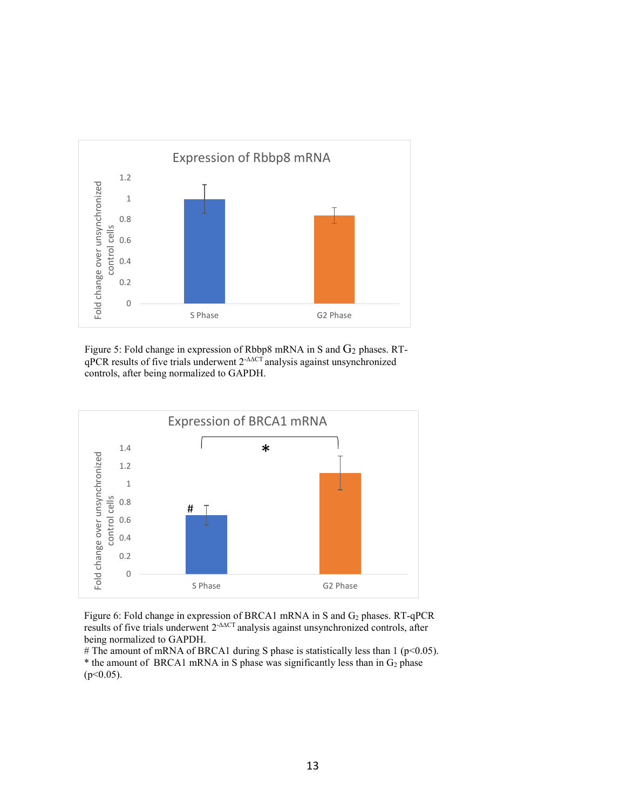

Figure 5: Fold change in expression of Rbbp8 mRNA in S and  $G_2$  phases. RTqPCR results of five trials underwent 2<sup>-∆∆CT</sup> analysis against unsynchronized controls, after being normalized to GAPDH.



Figure 6: Fold change in expression of BRCA1 mRNA in S and G<sub>2</sub> phases. RT-qPCR results of five trials underwent 2-∆∆CT analysis against unsynchronized controls, after being normalized to GAPDH.

# The amount of mRNA of BRCA1 during S phase is statistically less than 1 (p<0.05). \* the amount of BRCA1 mRNA in S phase was significantly less than in  $G_2$  phase (p<0.05).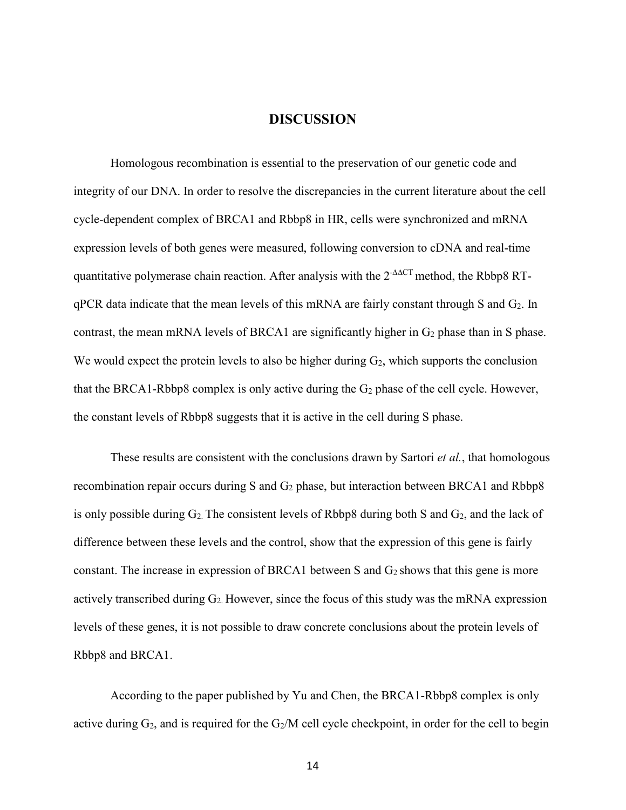# **DISCUSSION**

<span id="page-20-0"></span>Homologous recombination is essential to the preservation of our genetic code and integrity of our DNA. In order to resolve the discrepancies in the current literature about the cell cycle-dependent complex of BRCA1 and Rbbp8 in HR, cells were synchronized and mRNA expression levels of both genes were measured, following conversion to cDNA and real-time quantitative polymerase chain reaction. After analysis with the 2<sup>-∆∆CT</sup> method, the Rbbp8 RTqPCR data indicate that the mean levels of this mRNA are fairly constant through S and G2. In contrast, the mean mRNA levels of BRCA1 are significantly higher in  $G_2$  phase than in S phase. We would expect the protein levels to also be higher during  $G_2$ , which supports the conclusion that the BRCA1-Rbbp8 complex is only active during the  $G_2$  phase of the cell cycle. However, the constant levels of Rbbp8 suggests that it is active in the cell during S phase.

These results are consistent with the conclusions drawn by Sartori *et al.*, that homologous recombination repair occurs during S and  $G_2$  phase, but interaction between BRCA1 and Rbbp8 is only possible during  $G_2$ . The consistent levels of Rbbp8 during both S and  $G_2$ , and the lack of difference between these levels and the control, show that the expression of this gene is fairly constant. The increase in expression of BRCA1 between S and  $G_2$  shows that this gene is more actively transcribed during G2. However, since the focus of this study was the mRNA expression levels of these genes, it is not possible to draw concrete conclusions about the protein levels of Rbbp8 and BRCA1.

According to the paper published by Yu and Chen, the BRCA1-Rbbp8 complex is only active during  $G_2$ , and is required for the  $G_2/M$  cell cycle checkpoint, in order for the cell to begin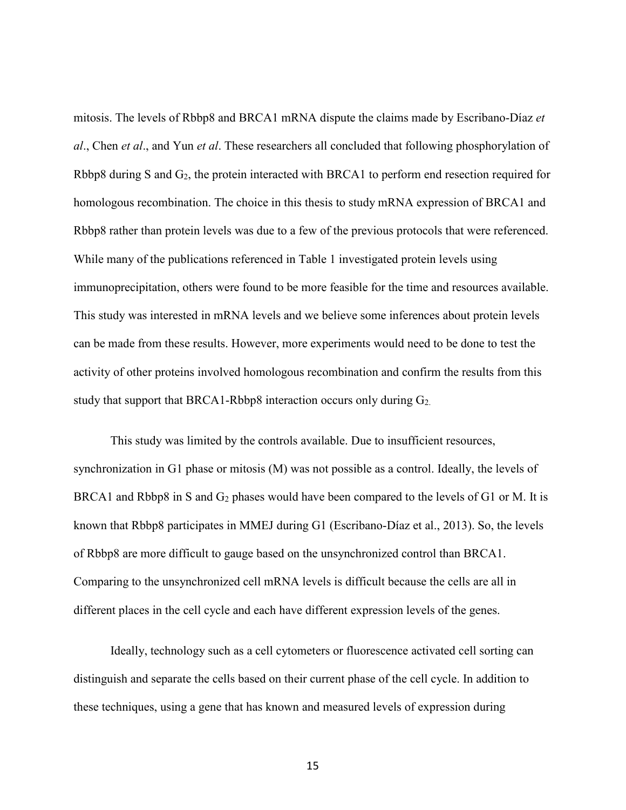mitosis. The levels of Rbbp8 and BRCA1 mRNA dispute the claims made by Escribano-Díaz *et al*., Chen *et al*., and Yun *et al*. These researchers all concluded that following phosphorylation of Rbbp8 during S and G<sub>2</sub>, the protein interacted with BRCA1 to perform end resection required for homologous recombination. The choice in this thesis to study mRNA expression of BRCA1 and Rbbp8 rather than protein levels was due to a few of the previous protocols that were referenced. While many of the publications referenced in Table 1 investigated protein levels using immunoprecipitation, others were found to be more feasible for the time and resources available. This study was interested in mRNA levels and we believe some inferences about protein levels can be made from these results. However, more experiments would need to be done to test the activity of other proteins involved homologous recombination and confirm the results from this study that support that BRCA1-Rbbp8 interaction occurs only during G2.

This study was limited by the controls available. Due to insufficient resources, synchronization in G1 phase or mitosis (M) was not possible as a control. Ideally, the levels of BRCA1 and Rbbp8 in S and  $G_2$  phases would have been compared to the levels of G1 or M. It is known that Rbbp8 participates in MMEJ during G1 (Escribano-Díaz et al., 2013). So, the levels of Rbbp8 are more difficult to gauge based on the unsynchronized control than BRCA1. Comparing to the unsynchronized cell mRNA levels is difficult because the cells are all in different places in the cell cycle and each have different expression levels of the genes.

Ideally, technology such as a cell cytometers or fluorescence activated cell sorting can distinguish and separate the cells based on their current phase of the cell cycle. In addition to these techniques, using a gene that has known and measured levels of expression during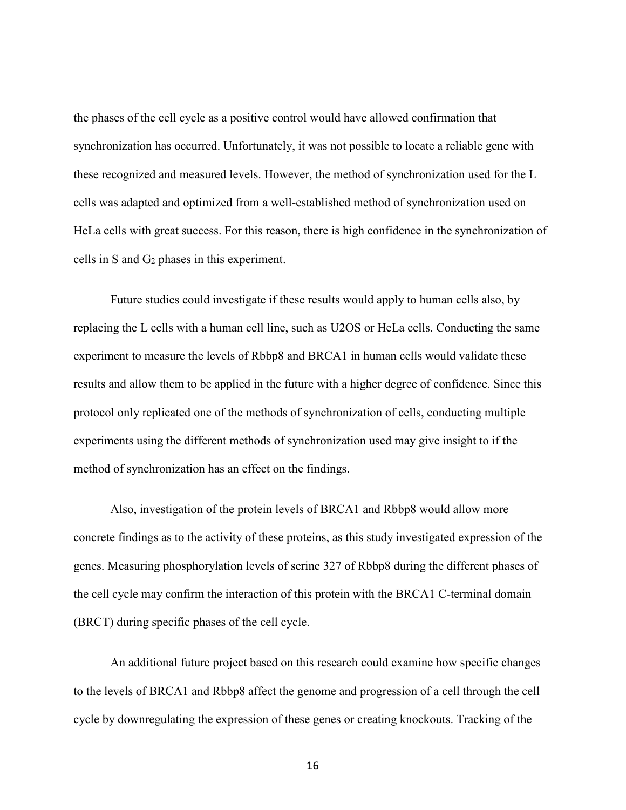the phases of the cell cycle as a positive control would have allowed confirmation that synchronization has occurred. Unfortunately, it was not possible to locate a reliable gene with these recognized and measured levels. However, the method of synchronization used for the L cells was adapted and optimized from a well-established method of synchronization used on HeLa cells with great success. For this reason, there is high confidence in the synchronization of cells in S and G2 phases in this experiment.

Future studies could investigate if these results would apply to human cells also, by replacing the L cells with a human cell line, such as U2OS or HeLa cells. Conducting the same experiment to measure the levels of Rbbp8 and BRCA1 in human cells would validate these results and allow them to be applied in the future with a higher degree of confidence. Since this protocol only replicated one of the methods of synchronization of cells, conducting multiple experiments using the different methods of synchronization used may give insight to if the method of synchronization has an effect on the findings.

Also, investigation of the protein levels of BRCA1 and Rbbp8 would allow more concrete findings as to the activity of these proteins, as this study investigated expression of the genes. Measuring phosphorylation levels of serine 327 of Rbbp8 during the different phases of the cell cycle may confirm the interaction of this protein with the BRCA1 C-terminal domain (BRCT) during specific phases of the cell cycle.

An additional future project based on this research could examine how specific changes to the levels of BRCA1 and Rbbp8 affect the genome and progression of a cell through the cell cycle by downregulating the expression of these genes or creating knockouts. Tracking of the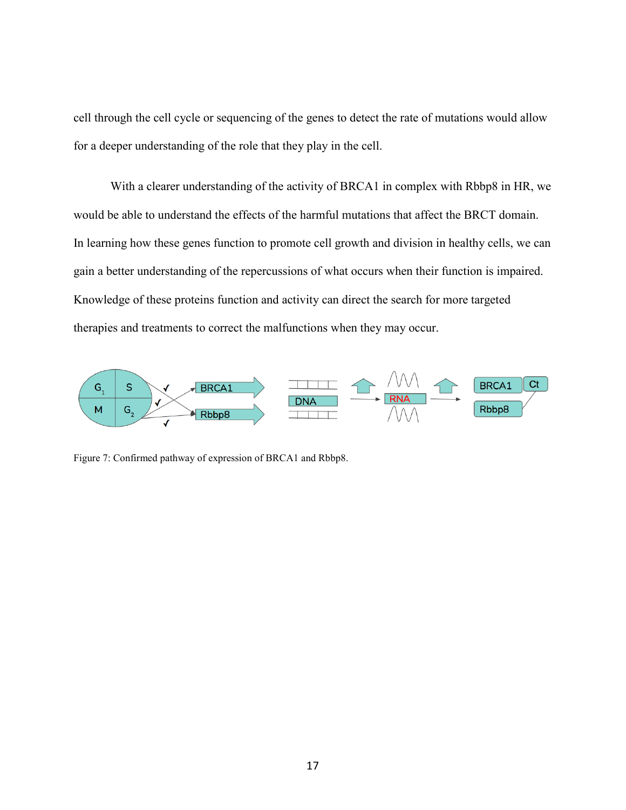cell through the cell cycle or sequencing of the genes to detect the rate of mutations would allow for a deeper understanding of the role that they play in the cell.

With a clearer understanding of the activity of BRCA1 in complex with Rbbp8 in HR, we would be able to understand the effects of the harmful mutations that affect the BRCT domain. In learning how these genes function to promote cell growth and division in healthy cells, we can gain a better understanding of the repercussions of what occurs when their function is impaired. Knowledge of these proteins function and activity can direct the search for more targeted therapies and treatments to correct the malfunctions when they may occur.



Figure 7: Confirmed pathway of expression of BRCA1 and Rbbp8.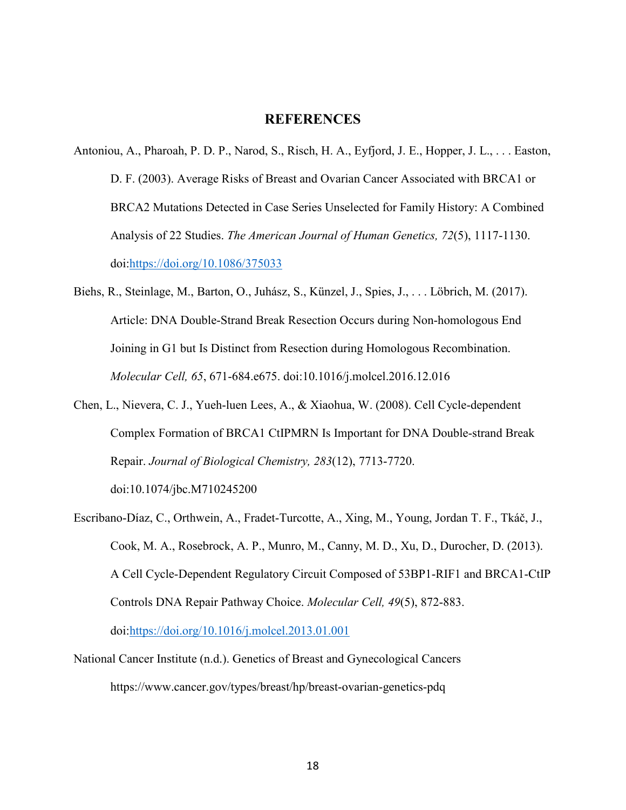## **REFERENCES**

- <span id="page-24-0"></span>Antoniou, A., Pharoah, P. D. P., Narod, S., Risch, H. A., Eyfjord, J. E., Hopper, J. L., . . . Easton, D. F. (2003). Average Risks of Breast and Ovarian Cancer Associated with BRCA1 or BRCA2 Mutations Detected in Case Series Unselected for Family History: A Combined Analysis of 22 Studies. *The American Journal of Human Genetics, 72*(5), 1117-1130. doi:https://doi.org/10.1086/375033
- Biehs, R., Steinlage, M., Barton, O., Juhász, S., Künzel, J., Spies, J., . . . Löbrich, M. (2017). Article: DNA Double-Strand Break Resection Occurs during Non-homologous End Joining in G1 but Is Distinct from Resection during Homologous Recombination. *Molecular Cell, 65*, 671-684.e675. doi:10.1016/j.molcel.2016.12.016
- Chen, L., Nievera, C. J., Yueh-luen Lees, A., & Xiaohua, W. (2008). Cell Cycle-dependent Complex Formation of BRCA1 CtIPMRN Is Important for DNA Double-strand Break Repair. *Journal of Biological Chemistry, 283*(12), 7713-7720. doi:10.1074/jbc.M710245200
- Escribano-Díaz, C., Orthwein, A., Fradet-Turcotte, A., Xing, M., Young, Jordan T. F., Tkáč, J., Cook, M. A., Rosebrock, A. P., Munro, M., Canny, M. D., Xu, D., Durocher, D. (2013). A Cell Cycle-Dependent Regulatory Circuit Composed of 53BP1-RIF1 and BRCA1-CtIP Controls DNA Repair Pathway Choice. *Molecular Cell, 49*(5), 872-883. doi:https://doi.org/10.1016/j.molcel.2013.01.001
- National Cancer Institute (n.d.). Genetics of Breast and Gynecological Cancers https://www.cancer.gov/types/breast/hp/breast-ovarian-genetics-pdq